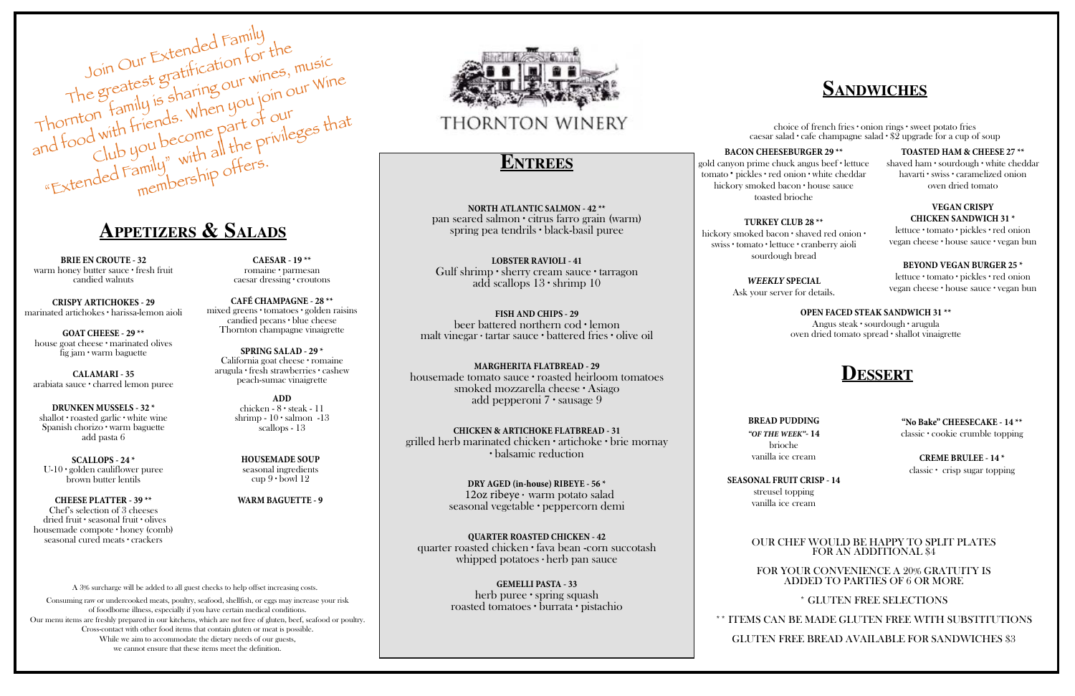**BRIE EN CROUTE - 32** warm honey butter sauce ∙ fresh fruit candied walnuts

**CRISPY ARTICHOKES - 29** marinated artichokes ∙ harissa-lemon aioli

**GOAT CHEESE - 29 \*\*** house goat cheese ∙ marinated olives fig jam ∙ warm baguette

**SCALLOPS - 24 \*** U-10 ∙ golden cauliflower puree brown butter lentils

**CALAMARI - 35** arabiata sauce ∙ charred lemon puree

**DRUNKEN MUSSELS - 32 \*** shallot ∙ roasted garlic ∙ white wine Spanish chorizo ∙ warm baguette add pasta 6

**CHEESE PLATTER - 39 \*\*** Chef's selection of 3 cheeses dried fruit ∙ seasonal fruit ∙ olives housemade compote ∙ honey (comb) seasonal cured meats ∙ crackers

**CAESAR - 19 \*\*** romaine ∙ parmesan caesar dressing ∙ croutons

**CAFÉ CHAMPAGNE - 28 \*\*** mixed greens ∙ tomatoes ∙ golden raisins candied pecans ∙ blue cheese Thornton champagne vinaigrette

**SPRING SALAD - 29 \*** California goat cheese ∙ romaine arugula ∙ fresh strawberries ∙ cashew peach-sumac vinaigrette

> **HOUSEMADE SOUP** seasonal ingredients cup  $9 \cdot$  bowl 12

# **Appetizers & Salads**

## **Entrees**

**NORTH ATLANTIC SALMON - 42 \*\***  pan seared salmon ∙ citrus farro grain (warm) spring pea tendrils ∙ black-basil puree

**LOBSTER RAVIOLI - 41** Gulf shrimp ∙ sherry cream sauce ∙ tarragon add scallops 13 ∙ shrimp 10

**FISH AND CHIPS - 29** beer battered northern cod ∙ lemon malt vinegar ∙ tartar sauce ∙ battered fries ∙ olive oil

**MARGHERITA FLATBREAD - 29** housemade tomato sauce ∙ roasted heirloom tomatoes smoked mozzarella cheese ∙ Asiago add pepperoni 7 ∙ sausage 9

**CHICKEN & ARTICHOKE FLATBREAD - 31** grilled herb marinated chicken ∙ artichoke ∙ brie mornay ∙ balsamic reduction

> **DRY AGED (in-house) RIBEYE - 56 \*** 12oz ribeye ∙ warm potato salad seasonal vegetable ∙ peppercorn demi

**QUARTER ROASTED CHICKEN - 42** quarter roasted chicken ∙ fava bean -corn succotash whipped potatoes ∙ herb pan sauce

> **GEMELLI PASTA - 33** herb puree ∙ spring squash roasted tomatoes ∙ burrata ∙ pistachio

**WARM BAGUETTE - 9**



# THORNTON WINERY

**BACON CHEESEBURGER 29 \*\***

gold canyon prime chuck angus beef ∙ lettuce tomato ∙ pickles ∙ red onion ∙ white cheddar hickory smoked bacon ∙ house sauce toasted brioche

**TURKEY CLUB 28 \*\*** hickory smoked bacon ∙ shaved red onion ∙ swiss ∙ tomato ∙ lettuce ∙ cranberry aioli sourdough bread

> *WEEKLY* **SPECIAL**  Ask your server for details.

### **TOASTED HAM & CHEESE 27 \*\***

shaved ham ∙ sourdough ∙ white cheddar havarti ∙ swiss ∙ caramelized onion oven dried tomato

## **VEGAN CRISPY CHICKEN SANDWICH 31 \***

lettuce ∙ tomato ∙ pickles ∙ red onion vegan cheese ∙ house sauce ∙ vegan bun

### **BEYOND VEGAN BURGER 25 \***

lettuce ∙ tomato ∙ pickles ∙ red onion vegan cheese ∙ house sauce ∙ vegan bun

# **Sandwiches**

choice of french fries ∙ onion rings ∙ sweet potato fries caesar salad ∙ cafe champagne salad ∙ \$2 upgrade for a cup of soup

## **Dessert**

### OUR CHEF WOULD BE HAPPY TO SPLIT PLATES FOR AN ADDITIONAL \$4

FOR YOUR CONVENIENCE A 20% GRATUITY IS ADDED TO PARTIES OF 6 OR MORE

## \* GLUTEN FREE SELECTIONS

\*\* ITEMS CAN BE MADE GLUTEN FREE WITH SUBSTITUTIONS GLUTEN FREE BREAD AVAILABLE FOR SANDWICHES \$3



**ADD** chicken - 8 ∙ steak - 11 shrimp - 10 ∙ salmon -13 scallops - 13

### **OPEN FACED STEAK SANDWICH 31 \*\***

Angus steak ∙ sourdough ∙ arugula oven dried tomato spread ∙ shallot vinaigrette

**BREAD PUDDING**  *"OF THE WEEK"***- 14** brioche vanilla ice cream

**SEASONAL FRUIT CRISP - 14** streusel topping vanilla ice cream

**"No Bake" CHEESECAKE - 14 \*\*** classic ∙ cookie crumble topping

**CREME BRULEE - 14 \*** classic ∙ crisp sugar topping

A 3% surcharge will be added to all guest checks to help offset increasing costs.

Consuming raw or undercooked meats, poultry, seafood, shellfish, or eggs may increase your risk of foodborne illness, especially if you have certain medical conditions. Our menu items are freshly prepared in our kitchens, which are not free of gluten, beef, seafood or poultry. Cross-contact with other food items that contain gluten or meat is possible. While we aim to accommodate the dietary needs of our guests, we cannot ensure that these items meet the definition.